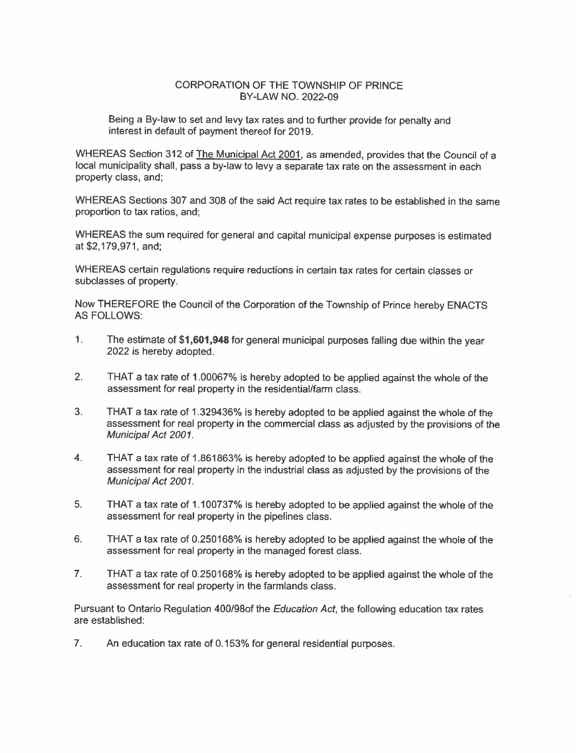### CORPORATION OF THE TOWNSHIP OF PRINCE BY-LAW NO. 2022-09

Being a By-law to set and levy tax rates and to further provide for penalty and interest in default of payment thereof for 2019.

WHEREAS Section 312 of The Municipal Act 2001, as amended, provides that the Council of a local municipality shall, pass a by-law to levy a separate tax rate on the assessment in each property class, and;

WHEREAS Sections 307 and 308 of the said Act require tax rates to be established in the same proportion to tax ratios, and;

WHEREAS the sum required for general and capital municipal expense purposes is estimated at \$2,179,971, and;

WHEREAS certain regulations require reductions in certain tax rates for certain classes or subclasses of property.

Now THEREFORE the Council of the Corporation of the Township of Prince hereby ENACTS **AS FOLLOWS:** 

- $\mathbf{1}$ . The estimate of \$1,601,948 for general municipal purposes falling due within the year 2022 is hereby adopted.
- $2.$ THAT a tax rate of 1.00067% is hereby adopted to be applied against the whole of the assessment for real property in the residential/farm class.
- $3.$ THAT a tax rate of 1.329436% is hereby adopted to be applied against the whole of the assessment for real property in the commercial class as adjusted by the provisions of the Municipal Act 2001.
- $4.$ THAT a tax rate of 1.861863% is hereby adopted to be applied against the whole of the assessment for real property in the industrial class as adjusted by the provisions of the Municipal Act 2001.
- 5. THAT a tax rate of 1.100737% is hereby adopted to be applied against the whole of the assessment for real property in the pipelines class.
- 6. THAT a tax rate of 0.250168% is hereby adopted to be applied against the whole of the assessment for real property in the managed forest class.
- $7.$ THAT a tax rate of 0.250168% is hereby adopted to be applied against the whole of the assessment for real property in the farmlands class.

Pursuant to Ontario Regulation 400/98of the Education Act, the following education tax rates are established:

 $7<sub>1</sub>$ An education tax rate of 0.153% for general residential purposes.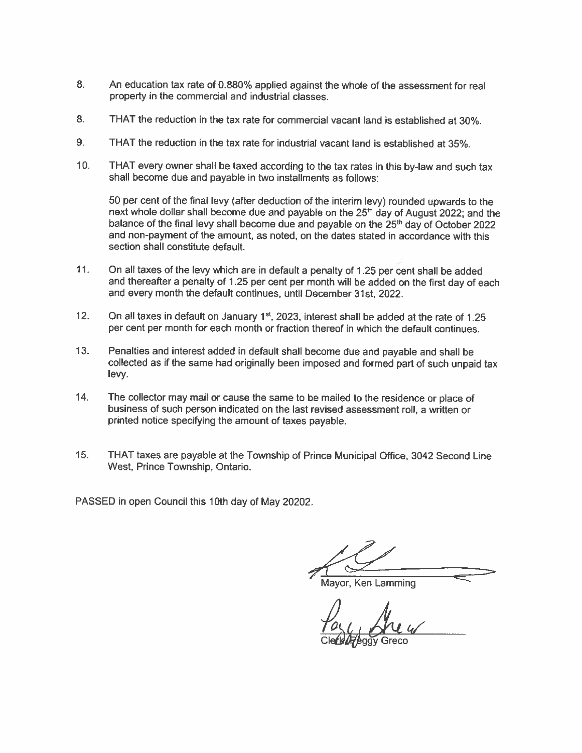- 8. An education tax rate of 0.880% applied against the whole of the assessment for real property in the commercial and industrial classes.
- 8. THAT the reduction in the tax rate for commercial vacant land is established at 30%.
- 9. THAT the reduction in the tax rate for industrial vacant land is established at 35%.
- THAT every owner shall be taxed according to the tax rates in this by-law and such tax  $10.$ shall become due and payable in two installments as follows:

50 per cent of the final levy (after deduction of the interim levy) rounded upwards to the next whole dollar shall become due and payable on the 25<sup>th</sup> day of August 2022; and the balance of the final levy shall become due and payable on the 25<sup>th</sup> day of October 2022 and non-payment of the amount, as noted, on the dates stated in accordance with this section shall constitute default.

- $11<sub>1</sub>$ On all taxes of the levy which are in default a penalty of 1.25 per cent shall be added and thereafter a penalty of 1.25 per cent per month will be added on the first day of each and every month the default continues, until December 31st, 2022.
- $12.$ On all taxes in default on January 1<sup>st</sup>, 2023, interest shall be added at the rate of 1.25 per cent per month for each month or fraction thereof in which the default continues.
- $13.$ Penalties and interest added in default shall become due and payable and shall be collected as if the same had originally been imposed and formed part of such unpaid tax levy.
- The collector may mail or cause the same to be mailed to the residence or place of  $14.$ business of such person indicated on the last revised assessment roll, a written or printed notice specifying the amount of taxes payable.
- $15.$ THAT taxes are payable at the Township of Prince Municipal Office, 3042 Second Line West, Prince Township, Ontario.

PASSED in open Council this 10th day of May 20202.

Mayor, Ken Lamming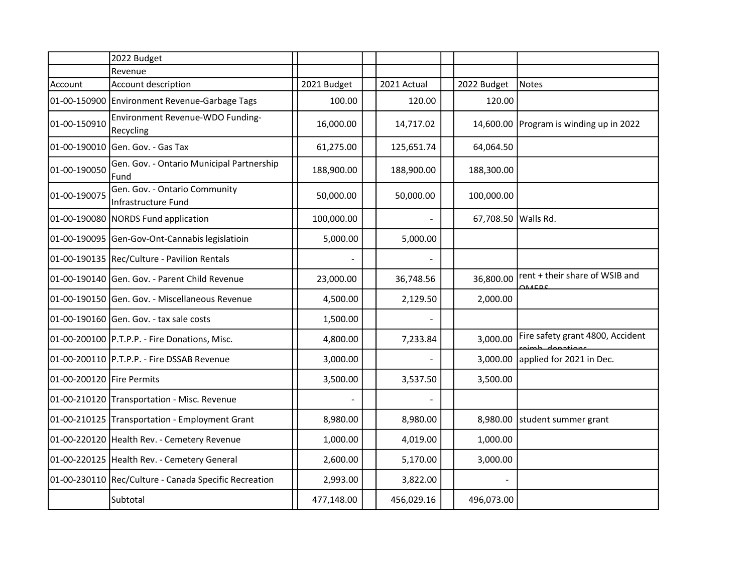|                           | 2022 Budget                                           |             |             |                     |                                                  |
|---------------------------|-------------------------------------------------------|-------------|-------------|---------------------|--------------------------------------------------|
|                           | Revenue                                               |             |             |                     |                                                  |
| Account                   | Account description                                   | 2021 Budget | 2021 Actual | 2022 Budget         | Notes                                            |
| 01-00-150900              | Environment Revenue-Garbage Tags                      | 100.00      | 120.00      | 120.00              |                                                  |
| 01-00-150910              | Environment Revenue-WDO Funding-<br>Recycling         | 16,000.00   | 14,717.02   |                     | 14,600.00 Program is winding up in 2022          |
| 01-00-190010              | Gen. Gov. - Gas Tax                                   | 61,275.00   | 125,651.74  | 64,064.50           |                                                  |
| 01-00-190050              | Gen. Gov. - Ontario Municipal Partnership<br>Fund     | 188,900.00  | 188,900.00  | 188,300.00          |                                                  |
| 01-00-190075              | Gen. Gov. - Ontario Community<br>Infrastructure Fund  | 50,000.00   | 50,000.00   | 100,000.00          |                                                  |
|                           | 01-00-190080 NORDS Fund application                   | 100,000.00  |             | 67,708.50 Walls Rd. |                                                  |
|                           | 01-00-190095 Gen-Gov-Ont-Cannabis legislatioin        | 5,000.00    | 5,000.00    |                     |                                                  |
|                           | 01-00-190135 Rec/Culture - Pavilion Rentals           |             |             |                     |                                                  |
|                           | 01-00-190140 Gen. Gov. - Parent Child Revenue         | 23,000.00   | 36,748.56   | 36,800.00           | rent + their share of WSIB and                   |
|                           | 01-00-190150 Gen. Gov. - Miscellaneous Revenue        | 4,500.00    | 2,129.50    | 2,000.00            |                                                  |
|                           | 01-00-190160 Gen. Gov. - tax sale costs               | 1,500.00    |             |                     |                                                  |
|                           | 01-00-200100 P.T.P.P. - Fire Donations, Misc.         | 4,800.00    | 7,233.84    | 3,000.00            | Fire safety grant 4800, Accident<br>aimh donatio |
|                           | 01-00-200110 P.T.P.P. - Fire DSSAB Revenue            | 3,000.00    |             | 3,000.00            | applied for 2021 in Dec.                         |
| 01-00-200120 Fire Permits |                                                       | 3,500.00    | 3,537.50    | 3,500.00            |                                                  |
|                           | 01-00-210120 Transportation - Misc. Revenue           |             |             |                     |                                                  |
|                           | 01-00-210125 Transportation - Employment Grant        | 8,980.00    | 8,980.00    |                     | 8,980.00 student summer grant                    |
|                           | 01-00-220120 Health Rev. - Cemetery Revenue           | 1,000.00    | 4,019.00    | 1,000.00            |                                                  |
|                           | 01-00-220125 Health Rev. - Cemetery General           | 2,600.00    | 5,170.00    | 3,000.00            |                                                  |
|                           | 01-00-230110 Rec/Culture - Canada Specific Recreation | 2,993.00    | 3,822.00    |                     |                                                  |
|                           | Subtotal                                              | 477,148.00  | 456,029.16  | 496,073.00          |                                                  |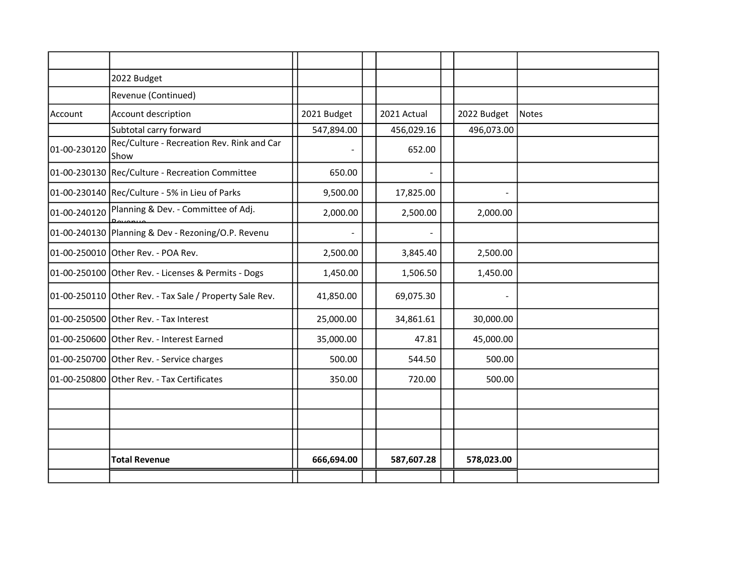|              | 2022 Budget                                             |             |             |                |       |
|--------------|---------------------------------------------------------|-------------|-------------|----------------|-------|
|              | Revenue (Continued)                                     |             |             |                |       |
| Account      | Account description                                     | 2021 Budget | 2021 Actual | 2022 Budget    | Notes |
|              | Subtotal carry forward                                  | 547,894.00  | 456,029.16  | 496,073.00     |       |
| 01-00-230120 | Rec/Culture - Recreation Rev. Rink and Car<br>Show      |             | 652.00      |                |       |
|              | 01-00-230130 Rec/Culture - Recreation Committee         | 650.00      |             |                |       |
|              | 01-00-230140 Rec/Culture - 5% in Lieu of Parks          | 9,500.00    | 17,825.00   | $\blacksquare$ |       |
|              | 01-00-240120 Planning & Dev. - Committee of Adj.        | 2,000.00    | 2,500.00    | 2,000.00       |       |
|              | 01-00-240130 Planning & Dev - Rezoning/O.P. Revenu      |             |             |                |       |
|              | 01-00-250010 Other Rev. - POA Rev.                      | 2,500.00    | 3,845.40    | 2,500.00       |       |
|              | 01-00-250100 Other Rev. - Licenses & Permits - Dogs     | 1,450.00    | 1,506.50    | 1,450.00       |       |
|              | 01-00-250110 Other Rev. - Tax Sale / Property Sale Rev. | 41,850.00   | 69,075.30   | $\blacksquare$ |       |
|              | 01-00-250500 Other Rev. - Tax Interest                  | 25,000.00   | 34,861.61   | 30,000.00      |       |
|              | 01-00-250600 Other Rev. - Interest Earned               | 35,000.00   | 47.81       | 45,000.00      |       |
|              | 01-00-250700 Other Rev. - Service charges               | 500.00      | 544.50      | 500.00         |       |
|              | 01-00-250800 Other Rev. - Tax Certificates              | 350.00      | 720.00      | 500.00         |       |
|              |                                                         |             |             |                |       |
|              |                                                         |             |             |                |       |
|              |                                                         |             |             |                |       |
|              | <b>Total Revenue</b>                                    | 666,694.00  | 587,607.28  | 578,023.00     |       |
|              |                                                         |             |             |                |       |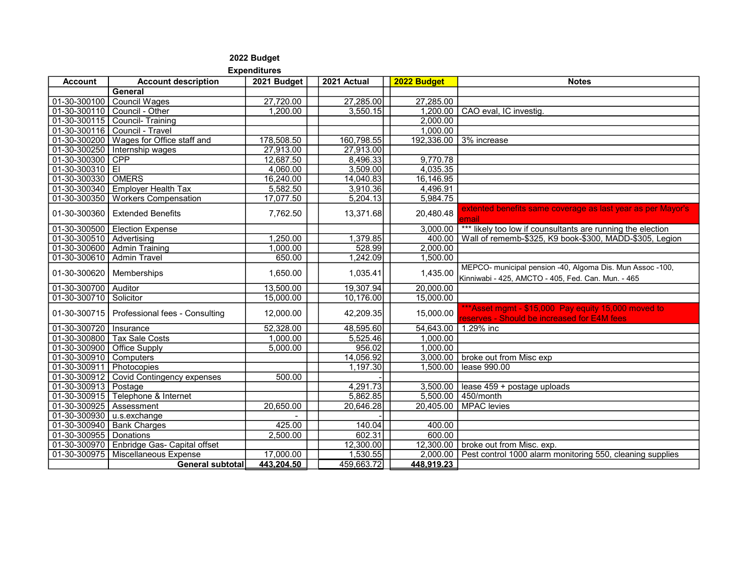#### 2022 Budget Expenditures

#### Account │ Account description │ 2021 Budget │ │2021 Actual │ <mark>2022 Budget │</mark> Notes **General** 01-30-300100 | Council Wages | 27,720.00 | 27,285.00 | 27,285.00 01-30-300110 | Council - Other | 1,200.00 | 3,550.15 | 1,200.00 | CAO eval, IC investig. 01-30-300115 Council- Training 2,000.00 01-30-300116 | Council - Travel 01-30-300200 Wages for Office staff and 178,508.50 | 160,798,55 | 192,336.00 | 3% increase 01-30-300250 | Internship wages 27,913.00 | 27,913.00 | 27,913.00  $01-30-300300$  CPP 12,687.50  $\vert$  8,496.33 9,770.78 01-30-300310 EI 4,060.00 4,060.00 3,509.00 4,035.35<br>01-30-300330 OMERS 16.240.00 14.040.83 16.146.95 01-30-300330 OMERS 01-30-300340 Employer Health Tax  $\begin{array}{|c|c|c|c|c|c|c|c|c|} \hline 5.582.50 & 3.910.36 & 4.496.91 \\ \hline \end{array}$ 01-30-300350 | Workers Compensation  $\vert$  17,077.50  $\vert$  5,204.13 | 5,984.75 01-30-300360 Extended Benefits  $7,762.50$  |  $7,762.50$  |  $13,371.68$  |  $20,480.48$   $\frac{\text{extended}}{\text{triangle}}$   $\frac{\text{extended}}{\text{triangle}}$  as last year as per Mayor's mail 01-30-300500 Election Expense 2,000 Flection 3,000,00 <sup>\*\*\*</sup> likely too low if counsultants are running the election 01-30-300510 Advertising 1,250.00 1,379.85 400.00 Wall of rememb-\$325, K9 book-\$300, MADD-\$305, Legion<br>01-30-300600 Admin Training 1.000.00 528.99 2.000.00 01-30-300600 Admin Training 01-30-300610 Admin Travel 1, 650.00 | 650.00 | 1,242.09 | 1,500.00  $01-30-300620$  Memberships  $1.650.00$  1,035.41 1,035.41 1,035.41 1,435.00 MEPCO- municipal pension -40, Algoma Dis. Mun Assoc -100, Kinniwabi - 425, AMCTO - 405, Fed. Can. Mun. - 465 01-30-300700 Auditor 13,500.00 19,307.94 20,000.00<br>01-30-300710 Solicitor 15.000.00 10.176.00 15.000.00 01-30-300710 Solicitor 01-30-300715 Professional fees - Consulting 12,000.00 42,209.35 15,000.00 <sup>\*\*\*Asset</sup> mgmt - \$15,000 Pay equity 15,000 moved to eserves - Should be increased for E4M fees 01-30-300720 Insurance 62,328.00 48,595.60 54,643.00 1.29% inc 01-30-300800 Tax Sale Costs 1,000.00 | 5,525.46 | 1,000.00 01-30-300900 Office Supply 1,000.00 | 5,000.00 | 956.02 | 1,000.00 01-30-300910 Computers 14,056.92 3,000.00 broke out from Misc exp 01-30-300911 Photocopies 1,197.30 1,197.30 1,500.00 lease 990.00 01-30-300912 | Covid Contingency expenses | 500.00 01-30-300913 Postage example and the state of the top of the 4,291.73 3,500.00 lease 459 + postage uploads 01-30-300915 Telephone & Internet 1 1 5,862.85 5,500.00 450/month 01-30-300925 Assessment 20,650.00 | 20,646.28 20,405.00 MPAC levies  $01-30-300930$  u.s.exchange 01-30-300940 Bank Charges 1 425.00 | 425.00 | 40.04 | 400.00 01-30-300955 Donations 2,500.00 602.31 600.00 01-30-300970 Enbridge Gas- Capital offset 120000 | 12,300.00 | 12,300.00 | broke out from Misc. exp. 01-30-300975 | Miscellaneous Expense | 17,000.00 | 1,530.55 | 2,000.00 | Pest control 1000 alarm monitoring 550, cleaning supplies General subtotal 443,204.50 459,663.72 448,919.23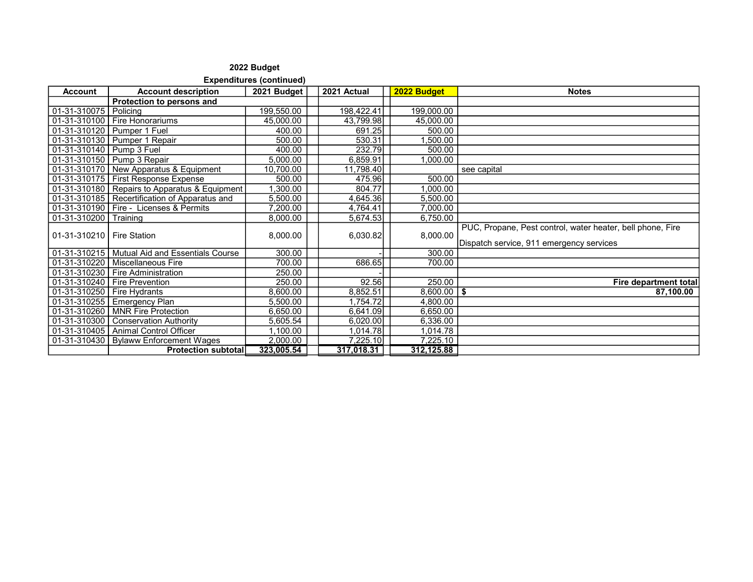Expenditures (continued)

| <b>Account</b>              | <b>Account description</b>                      | 2021 Budget | 2021 Actual | 2022 Budget     | <b>Notes</b>                                                                                           |
|-----------------------------|-------------------------------------------------|-------------|-------------|-----------------|--------------------------------------------------------------------------------------------------------|
|                             | Protection to persons and                       |             |             |                 |                                                                                                        |
| 01-31-310075   Policing     |                                                 | 199,550.00  | 198,422.41  | 199,000.00      |                                                                                                        |
|                             | 01-31-310100   Fire Honorariums                 | 45,000.00   | 43,799.98   | 45,000.00       |                                                                                                        |
|                             | 01-31-310120   Pumper 1 Fuel                    | 400.00      | 691.25      | 500.00          |                                                                                                        |
|                             | 01-31-310130   Pumper 1 Repair                  | 500.00      | 530.31      | ,500.00         |                                                                                                        |
| 01-31-310140   Pump 3 Fuel  |                                                 | 400.00      | 232.79      | 500.00          |                                                                                                        |
|                             | 01-31-310150 Pump 3 Repair                      | 5,000.00    | 6,859.91    | 00.000,         |                                                                                                        |
|                             | 01-31-310170   New Apparatus & Equipment        | 10,700.00   | 11,798.40   |                 | see capital                                                                                            |
|                             | 01-31-310175   First Response Expense           | 500.00      | 475.96      | 500.00          |                                                                                                        |
|                             | 01-31-310180 Repairs to Apparatus & Equipment   | 1,300.00    | 804.77      | 00.000,         |                                                                                                        |
|                             | 01-31-310185   Recertification of Apparatus and | 5,500.00    | 4,645.36    | 5,500.00        |                                                                                                        |
|                             | 01-31-310190   Fire - Licenses & Permits        | 7,200.00    | 4,764.41    | 7,000.00        |                                                                                                        |
| 01-31-310200                | Training                                        | 8,000.00    | 5,674.53    | 6,750.00        |                                                                                                        |
| 01-31-310210   Fire Station |                                                 | 8,000.00    | 6,030.82    | 8,000.00        | PUC, Propane, Pest control, water heater, bell phone, Fire<br>Dispatch service, 911 emergency services |
|                             | 01-31-310215   Mutual Aid and Essentials Course | 300.00      |             | 300.00          |                                                                                                        |
|                             | 01-31-310220   Miscellaneous Fire               | 700.00      | 686.65      | 700.00          |                                                                                                        |
|                             | 01-31-310230   Fire Administration              | 250.00      |             |                 |                                                                                                        |
|                             | 01-31-310240   Fire Prevention                  | 250.00      | 92.56       | 250.00          | Fire department total                                                                                  |
| 01-31-310250 Fire Hydrants  |                                                 | 8,600.00    | 8,852.51    | $8,600.00$   \$ | 87,100.00                                                                                              |
|                             | 01-31-310255   Emergency Plan                   | 5,500.00    | 1,754.72    | 4,800.00        |                                                                                                        |
|                             | 01-31-310260   MNR Fire Protection              | 6,650.00    | 6,641.09    | 6,650.00        |                                                                                                        |
|                             | 01-31-310300   Conservation Authority           | 5,605.54    | 6,020.00    | 6,336.00        |                                                                                                        |
|                             | 01-31-310405   Animal Control Officer           | 1,100.00    | 1,014.78    | 1,014.78        |                                                                                                        |
|                             | 01-31-310430   Bylaww Enforcement Wages         | 2,000.00    | 7,225.10    | 7,225.10        |                                                                                                        |
|                             | <b>Protection subtotal</b>                      | 323,005.54  | 317,018.31  | 312,125.88      |                                                                                                        |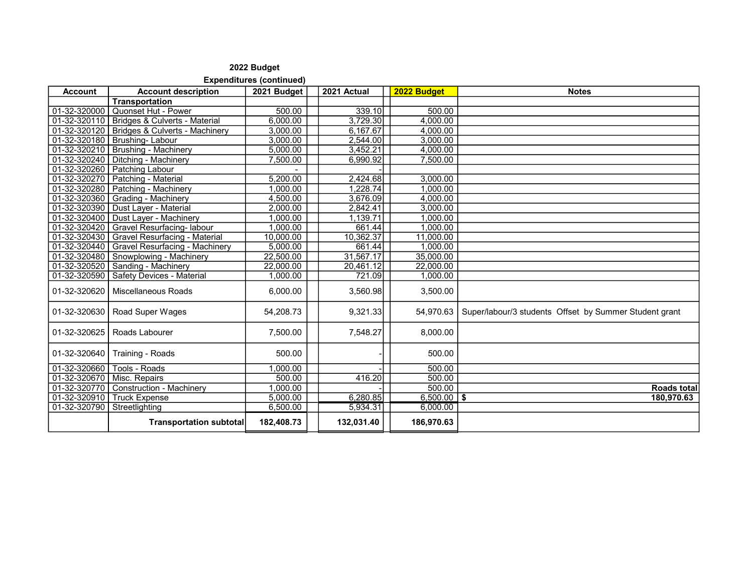Expenditures (continued)

| <b>Account</b>               | <b>Account description</b>                    | 2021 Budget | 2021 Actual | 2022 Budget   | <b>Notes</b>                                           |
|------------------------------|-----------------------------------------------|-------------|-------------|---------------|--------------------------------------------------------|
|                              | <b>Transportation</b>                         |             |             |               |                                                        |
| 01-32-320000                 | Quonset Hut - Power                           | 500.00      | 339.10      | 500.00        |                                                        |
|                              | 01-32-320110   Bridges & Culverts - Material  | 6,000.00    | 3,729.30    | 4,000.00      |                                                        |
|                              | 01-32-320120   Bridges & Culverts - Machinery | 3,000.00    | 6,167.67    | 4,000.00      |                                                        |
| 01-32-320180                 | <b>Brushing-Labour</b>                        | 3,000.00    | 2,544.00    | 3,000.00      |                                                        |
|                              | 01-32-320210   Brushing - Machinery           | 5,000.00    | 3,452.21    | 4.000.00      |                                                        |
| 01-32-320240                 | Ditching - Machinery                          | 7,500.00    | 6,990.92    | 7,500.00      |                                                        |
|                              | 01-32-320260   Patching Labour                |             |             |               |                                                        |
| 01-32-320270                 | Patching - Material                           | 5.200.00    | 2.424.68    | 3.000.00      |                                                        |
|                              | 01-32-320280   Patching - Machinery           | 1,000.00    | 1,228.74    | 1,000.00      |                                                        |
|                              | 01-32-320360 Grading - Machinery              | 4,500.00    | 3,676.09    | 4,000.00      |                                                        |
|                              | 01-32-320390   Dust Layer - Material          | 2,000.00    | 2,842.41    | 3,000.00      |                                                        |
|                              | 01-32-320400   Dust Layer - Machinery         | 1,000.00    | 1,139.71    | 1,000.00      |                                                        |
|                              | 01-32-320420   Gravel Resurfacing- labour     | 1,000.00    | 661.44      | 1,000.00      |                                                        |
| $01-32-320430$               | <b>Gravel Resurfacing - Material</b>          | 10,000.00   | 10,362.37   | 11,000.00     |                                                        |
| 01-32-320440                 | Gravel Resurfacing - Machinery                | 5,000.00    | 661.44      | 1,000.00      |                                                        |
| 01-32-320480                 | Snowplowing - Machinery                       | 22,500.00   | 31,567.17   | 35,000.00     |                                                        |
| 01-32-320520                 | Sanding - Machinery                           | 22,000.00   | 20,461.12   | 22,000.00     |                                                        |
| 01-32-320590                 | Safety Devices - Material                     | 1,000.00    | 721.09      | 1,000.00      |                                                        |
| 01-32-320620                 | <b>Miscellaneous Roads</b>                    | 6,000.00    | 3,560.98    | 3,500.00      |                                                        |
| 01-32-320630                 | Road Super Wages                              | 54,208.73   | 9,321.33    | 54,970.63     | Super/labour/3 students Offset by Summer Student grant |
| 01-32-320625                 | Roads Labourer                                | 7,500.00    | 7,548.27    | 8,000.00      |                                                        |
| 01-32-320640                 | Training - Roads                              | 500.00      |             | 500.00        |                                                        |
| 01-32-320660                 | Tools - Roads                                 | 1,000.00    |             | 500.00        |                                                        |
| 01-32-320670   Misc. Repairs |                                               | 500.00      | 416.20      | 500.00        |                                                        |
| 01-32-320770                 | Construction - Machinery                      | 1,000.00    |             | 500.00        | <b>Roads total</b>                                     |
| $01-32-320910$               | <b>Truck Expense</b>                          | 5,000.00    | 6,280.85    | $6,500.00$ \$ | 180,970.63                                             |
| 01-32-320790 Streetlighting  |                                               | 6,500.00    | 5,934.31    | 6,000.00      |                                                        |
|                              | <b>Transportation subtotal</b>                | 182,408.73  | 132,031.40  | 186,970.63    |                                                        |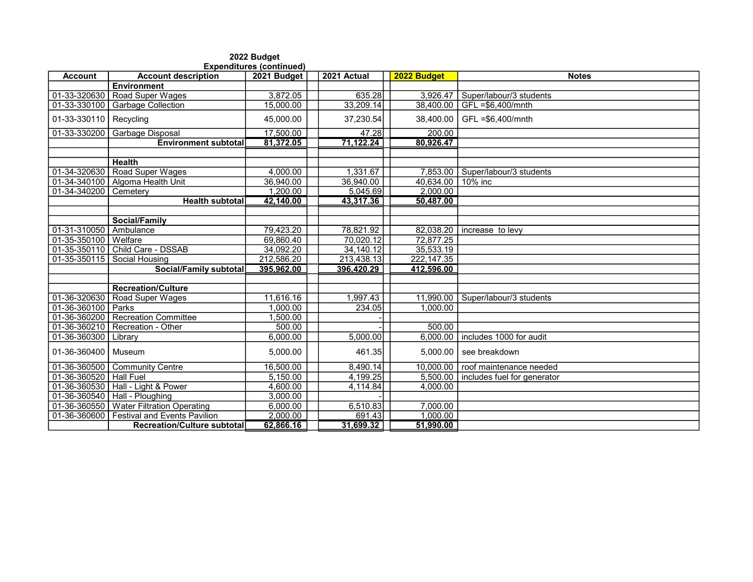| <b>Expenditures (continued)</b> |                                     |             |             |             |                             |  |  |  |
|---------------------------------|-------------------------------------|-------------|-------------|-------------|-----------------------------|--|--|--|
| <b>Account</b>                  | <b>Account description</b>          | 2021 Budget | 2021 Actual | 2022 Budget | <b>Notes</b>                |  |  |  |
|                                 | <b>Environment</b>                  |             |             |             |                             |  |  |  |
| 01-33-320630                    | Road Super Wages                    | 3,872.05    | 635.28      | 3,926.47    | Super/labour/3 students     |  |  |  |
| 01-33-330100                    | <b>Garbage Collection</b>           | 15.000.00   | 33,209.14   | 38.400.00   | $GFL = $6,400/mnth$         |  |  |  |
| 01-33-330110                    | Recycling                           | 45,000.00   | 37,230.54   | 38,400.00   | GFL =\$6,400/mnth           |  |  |  |
| 01-33-330200                    | Garbage Disposal                    | 17,500.00   | 47.28       | 200.00      |                             |  |  |  |
|                                 | <b>Environment subtotal</b>         | 81,372.05   | 71.122.24   | 80.926.47   |                             |  |  |  |
|                                 |                                     |             |             |             |                             |  |  |  |
|                                 | <b>Health</b>                       |             |             |             |                             |  |  |  |
| 01-34-320630                    | <b>Road Super Wages</b>             | 4,000.00    | 1.331.67    | 7.853.00    | Super/labour/3 students     |  |  |  |
| 01-34-340100                    | Algoma Health Unit                  | 36.940.00   | 36,940.00   | 40,634.00   | 10% inc                     |  |  |  |
| 01-34-340200                    | Cemetery                            | 1,200.00    | 5,045.69    | 2,000.00    |                             |  |  |  |
|                                 | <b>Health subtotal</b>              | 42.140.00   | 43,317.36   | 50.487.00   |                             |  |  |  |
|                                 |                                     |             |             |             |                             |  |  |  |
|                                 | Social/Family                       |             |             |             |                             |  |  |  |
| 01-31-310050                    | Ambulance                           | 79,423.20   | 78,821.92   | 82,038.20   | increase to levy            |  |  |  |
| 01-35-350100                    | Welfare                             | 69,860.40   | 70,020.12   | 72,877.25   |                             |  |  |  |
| 01-35-350110                    | Child Care - DSSAB                  | 34,092.20   | 34,140.12   | 35,533.19   |                             |  |  |  |
| 01-35-350115                    | Social Housing                      | 212,586.20  | 213,438.13  | 222,147.35  |                             |  |  |  |
|                                 | <b>Social/Family subtotal</b>       | 395,962.00  | 396,420.29  | 412,596.00  |                             |  |  |  |
|                                 |                                     |             |             |             |                             |  |  |  |
|                                 | <b>Recreation/Culture</b>           |             |             |             |                             |  |  |  |
| 01-36-320630                    | Road Super Wages                    | 11,616.16   | 1,997.43    | 11,990.00   | Super/labour/3 students     |  |  |  |
| 01-36-360100                    | Parks                               | 1.000.00    | 234.05      | 1.000.00    |                             |  |  |  |
| 01-36-360200                    | <b>Recreation Committee</b>         | ,500.00     |             |             |                             |  |  |  |
| 01-36-360210                    | Recreation - Other                  | 500.00      |             | 500.00      |                             |  |  |  |
| 01-36-360300                    | Library                             | 6,000.00    | 5,000.00    | 6,000.00    | includes 1000 for audit     |  |  |  |
| 01-36-360400                    | Museum                              | 5,000.00    | 461.35      | 5,000.00    | see breakdown               |  |  |  |
| 01-36-360500                    | <b>Community Centre</b>             | 16,500.00   | 8,490.14    | 10,000.00   | roof maintenance needed     |  |  |  |
| 01-36-360520                    | <b>Hall Fuel</b>                    | 5,150.00    | 4,199.25    | 5,500.00    | includes fuel for generator |  |  |  |
| 01-36-360530                    | Hall - Light & Power                | 4,600.00    | 4,114.84    | 4,000.00    |                             |  |  |  |
| 01-36-360540                    | Hall - Ploughing                    | 3,000.00    |             |             |                             |  |  |  |
| 01-36-360550                    | <b>Water Filtration Operating</b>   | 6,000.00    | 6,510.83    | 7,000.00    |                             |  |  |  |
| 01-36-360600                    | <b>Festival and Events Pavilion</b> | 2,000.00    | 691.43      | 1,000.00    |                             |  |  |  |
|                                 | Recreation/Culture subtotal         | 62,866.16   | 31,699.32   | 51,990.00   |                             |  |  |  |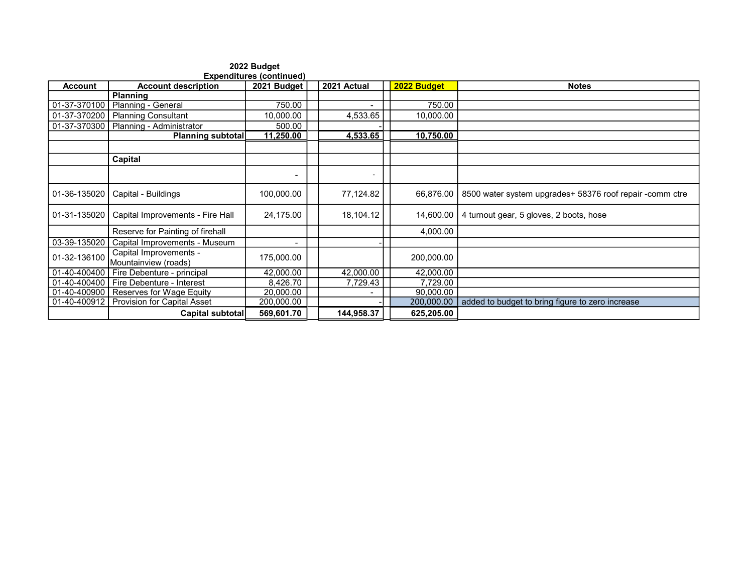| <b>Expenditures (continued)</b> |                                                |             |  |                |             |                                                          |  |  |  |
|---------------------------------|------------------------------------------------|-------------|--|----------------|-------------|----------------------------------------------------------|--|--|--|
| <b>Account</b>                  | <b>Account description</b>                     | 2021 Budget |  | 2021 Actual    | 2022 Budget | <b>Notes</b>                                             |  |  |  |
|                                 | <b>Planning</b>                                |             |  |                |             |                                                          |  |  |  |
| 01-37-370100                    | Planning - General                             | 750.00      |  |                | 750.00      |                                                          |  |  |  |
| 01-37-370200                    | <b>Planning Consultant</b>                     | 10,000.00   |  | 4,533.65       | 10,000.00   |                                                          |  |  |  |
| 01-37-370300                    | Planning - Administrator                       | 500.00      |  |                |             |                                                          |  |  |  |
|                                 | <b>Planning subtotal</b>                       | 11,250.00   |  | 4,533.65       | 10,750.00   |                                                          |  |  |  |
|                                 |                                                |             |  |                |             |                                                          |  |  |  |
|                                 | Capital                                        |             |  |                |             |                                                          |  |  |  |
|                                 |                                                |             |  |                |             |                                                          |  |  |  |
| 01-36-135020                    | Capital - Buildings                            | 100,000.00  |  | 77,124.82      | 66,876.00   | 8500 water system upgrades+ 58376 roof repair -comm ctre |  |  |  |
| 01-31-135020                    | Capital Improvements - Fire Hall               | 24,175.00   |  | 18,104.12      | 14,600.00   | 4 turnout gear, 5 gloves, 2 boots, hose                  |  |  |  |
|                                 | Reserve for Painting of firehall               |             |  |                | 4,000.00    |                                                          |  |  |  |
| 03-39-135020                    | Capital Improvements - Museum                  | -           |  |                |             |                                                          |  |  |  |
| 01-32-136100                    | Capital Improvements -<br>Mountainview (roads) | 175,000.00  |  |                | 200,000.00  |                                                          |  |  |  |
| 01-40-400400                    | Fire Debenture - principal                     | 42,000.00   |  | 42,000.00      | 42,000.00   |                                                          |  |  |  |
| 01-40-400400                    | Fire Debenture - Interest                      | 8,426.70    |  | 7,729.43       | 7,729.00    |                                                          |  |  |  |
| 01-40-400900                    | Reserves for Wage Equity                       | 20,000.00   |  | $\blacksquare$ | 90,000.00   |                                                          |  |  |  |
| 01-40-400912                    | <b>Provision for Capital Asset</b>             | 200,000.00  |  |                | 200,000.00  | added to budget to bring figure to zero increase         |  |  |  |
|                                 | Capital subtotal                               | 569,601.70  |  | 144,958.37     | 625,205.00  |                                                          |  |  |  |